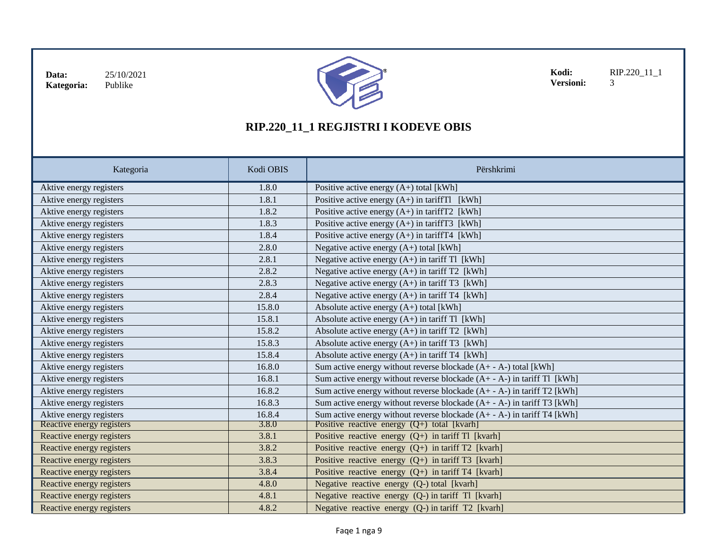

**Kodi:** RIP.220\_11\_1<br>**Versioni:** 3 **Versioni:** 

| Kategoria                 | Kodi OBIS | Përshkrimi                                                                |
|---------------------------|-----------|---------------------------------------------------------------------------|
| Aktive energy registers   | 1.8.0     | Positive active energy $(A+)$ total [kWh]                                 |
| Aktive energy registers   | 1.8.1     | Positive active energy $(A+)$ in tariff Tl [kWh]                          |
| Aktive energy registers   | 1.8.2     | Positive active energy $(A+)$ in tariff T2 [kWh]                          |
| Aktive energy registers   | 1.8.3     | Positive active energy $(A+)$ in tariff T3 [kWh]                          |
| Aktive energy registers   | 1.8.4     | Positive active energy $(A+)$ in tariff T4 [kWh]                          |
| Aktive energy registers   | 2.8.0     | Negative active energy (A+) total [kWh]                                   |
| Aktive energy registers   | 2.8.1     | Negative active energy $(A+)$ in tariff Tl [kWh]                          |
| Aktive energy registers   | 2.8.2     | Negative active energy $(A+)$ in tariff T2 [kWh]                          |
| Aktive energy registers   | 2.8.3     | Negative active energy $(A+)$ in tariff T3 [kWh]                          |
| Aktive energy registers   | 2.8.4     | Negative active energy $(A+)$ in tariff T4 [kWh]                          |
| Aktive energy registers   | 15.8.0    | Absolute active energy $(A+)$ total [kWh]                                 |
| Aktive energy registers   | 15.8.1    | Absolute active energy $(A+)$ in tariff Tl [kWh]                          |
| Aktive energy registers   | 15.8.2    | Absolute active energy $(A+)$ in tariff T2 [kWh]                          |
| Aktive energy registers   | 15.8.3    | Absolute active energy $(A+)$ in tariff T3 [kWh]                          |
| Aktive energy registers   | 15.8.4    | Absolute active energy $(A+)$ in tariff T4 [kWh]                          |
| Aktive energy registers   | 16.8.0    | Sum active energy without reverse blockade $(A + -A-)$ total [kWh]        |
| Aktive energy registers   | 16.8.1    | Sum active energy without reverse blockade $(A + - A)$ in tariff Tl [kWh] |
| Aktive energy registers   | 16.8.2    | Sum active energy without reverse blockade $(A + -A)$ in tariff T2 [kWh]  |
| Aktive energy registers   | 16.8.3    | Sum active energy without reverse blockade $(A + - A)$ in tariff T3 [kWh] |
| Aktive energy registers   | 16.8.4    | Sum active energy without reverse blockade $(A + -A)$ in tariff T4 [kWh]  |
| Reactive energy registers | 3.8.0     | Positive reactive energy $(Q+)$ total [kvarh]                             |
| Reactive energy registers | 3.8.1     | Positive reactive energy $(Q+)$ in tariff Tl [kvarh]                      |
| Reactive energy registers | 3.8.2     | Positive reactive energy $(Q+)$ in tariff T2 [kvarh]                      |
| Reactive energy registers | 3.8.3     | Positive reactive energy $(Q+)$ in tariff T3 [kvarh]                      |
| Reactive energy registers | 3.8.4     | Positive reactive energy $(Q+)$ in tariff T4 [kvarh]                      |
| Reactive energy registers | 4.8.0     | Negative reactive energy (Q-) total [kvarh]                               |
| Reactive energy registers | 4.8.1     | Negative reactive energy (Q-) in tariff Tl [kvarh]                        |
| Reactive energy registers | 4.8.2     | Negative reactive energy (Q-) in tariff T2 [kvarh]                        |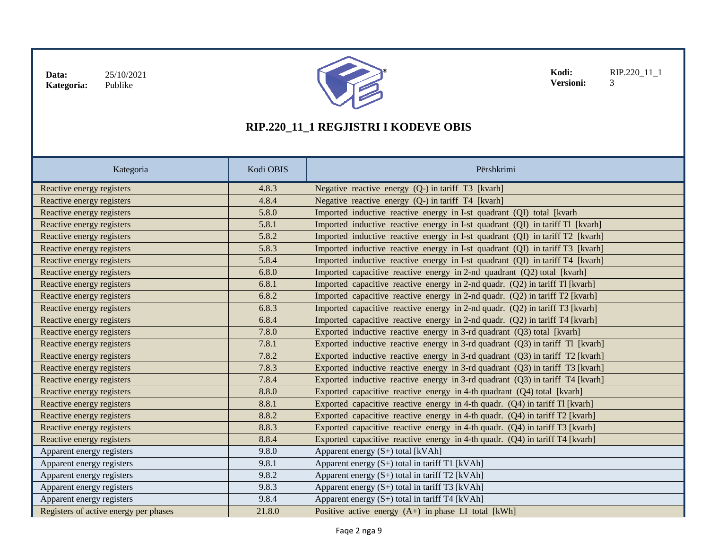

**Kodi:** RIP.220\_11\_1<br>**Versioni:** 3 Versioni:

| Kategoria                             | Kodi OBIS | Përshkrimi                                                                      |
|---------------------------------------|-----------|---------------------------------------------------------------------------------|
| Reactive energy registers             | 4.8.3     | Negative reactive energy (Q-) in tariff T3 [kvarh]                              |
| Reactive energy registers             | 4.8.4     | Negative reactive energy (Q-) in tariff T4 [kvarh]                              |
| Reactive energy registers             | 5.8.0     | Imported inductive reactive energy in I-st quadrant (QI) total [kvarh           |
| Reactive energy registers             | 5.8.1     | Imported inductive reactive energy in I-st quadrant (QI) in tariff Tl [kvarh]   |
| Reactive energy registers             | 5.8.2     | Imported inductive reactive energy in I-st quadrant (QI) in tariff T2 [kvarh]   |
| Reactive energy registers             | 5.8.3     | Imported inductive reactive energy in I-st quadrant (QI) in tariff T3 [kvarh]   |
| Reactive energy registers             | 5.8.4     | Imported inductive reactive energy in I-st quadrant (QI) in tariff T4 [kvarh]   |
| Reactive energy registers             | 6.8.0     | Imported capacitive reactive energy in 2-nd quadrant (Q2) total [kvarh]         |
| Reactive energy registers             | 6.8.1     | Imported capacitive reactive energy in 2-nd quadr. (Q2) in tariff Tl [kvarh]    |
| Reactive energy registers             | 6.8.2     | Imported capacitive reactive energy in 2-nd quadr. (Q2) in tariff T2 [kvarh]    |
| Reactive energy registers             | 6.8.3     | Imported capacitive reactive energy in 2-nd quadr. (Q2) in tariff T3 [kvarh]    |
| Reactive energy registers             | 6.8.4     | Imported capacitive reactive energy in 2-nd quadr. (Q2) in tariff T4 [kvarh]    |
| Reactive energy registers             | 7.8.0     | Exported inductive reactive energy in 3-rd quadrant (Q3) total [kvarh]          |
| Reactive energy registers             | 7.8.1     | Exported inductive reactive energy in 3-rd quadrant $(Q3)$ in tariff Tl [kvarh] |
| Reactive energy registers             | 7.8.2     | Exported inductive reactive energy in 3-rd quadrant $(Q3)$ in tariff T2 [kvarh] |
| Reactive energy registers             | 7.8.3     | Exported inductive reactive energy in 3-rd quadrant $(Q3)$ in tariff T3 [kvarh] |
| Reactive energy registers             | 7.8.4     | Exported inductive reactive energy in 3-rd quadrant $(Q3)$ in tariff T4 [kvarh] |
| Reactive energy registers             | 8.8.0     | Exported capacitive reactive energy in 4-th quadrant $(Q4)$ total [kvarh]       |
| Reactive energy registers             | 8.8.1     | Exported capacitive reactive energy in 4-th quadr. $(Q4)$ in tariff Tl [kvarh]  |
| Reactive energy registers             | 8.8.2     | Exported capacitive reactive energy in 4-th quadr. (Q4) in tariff T2 [kvarh]    |
| Reactive energy registers             | 8.8.3     | Exported capacitive reactive energy in 4-th quadr. $(Q4)$ in tariff T3 [kvarh]  |
| Reactive energy registers             | 8.8.4     | Exported capacitive reactive energy in 4-th quadr. (Q4) in tariff T4 [kvarh]    |
| Apparent energy registers             | 9.8.0     | Apparent energy $(S+)$ total [kVAh]                                             |
| Apparent energy registers             | 9.8.1     | Apparent energy $(S+)$ total in tariff T1 [kVAh]                                |
| Apparent energy registers             | 9.8.2     | Apparent energy $(S+)$ total in tariff T2 [kVAh]                                |
| Apparent energy registers             | 9.8.3     | Apparent energy $(S+)$ total in tariff T3 [kVAh]                                |
| Apparent energy registers             | 9.8.4     | Apparent energy $(S+)$ total in tariff T4 [kVAh]                                |
| Registers of active energy per phases | 21.8.0    | Positive active energy (A+) in phase LI total [kWh]                             |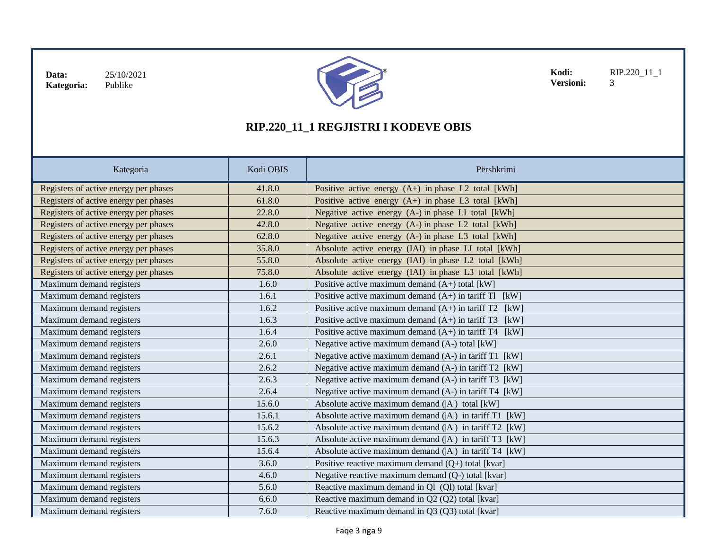

**Kodi:** RIP.220\_11\_1<br>**Versioni:** 3 Versioni:

| Kategoria                             | Kodi OBIS | Përshkrimi                                                 |
|---------------------------------------|-----------|------------------------------------------------------------|
| Registers of active energy per phases | 41.8.0    | Positive active energy $(A+)$ in phase L2 total [kWh]      |
| Registers of active energy per phases | 61.8.0    | Positive active energy $(A+)$ in phase L3 total [kWh]      |
| Registers of active energy per phases | 22.8.0    | Negative active energy (A-) in phase LI total [kWh]        |
| Registers of active energy per phases | 42.8.0    | Negative active energy (A-) in phase L2 total [kWh]        |
| Registers of active energy per phases | 62.8.0    | Negative active energy (A-) in phase L3 total [kWh]        |
| Registers of active energy per phases | 35.8.0    | Absolute active energy (IAI) in phase LI total [kWh]       |
| Registers of active energy per phases | 55.8.0    | Absolute active energy (IAI) in phase L2 total [kWh]       |
| Registers of active energy per phases | 75.8.0    | Absolute active energy (IAI) in phase L3 total [kWh]       |
| Maximum demand registers              | 1.6.0     | Positive active maximum demand $(A+)$ total [kW]           |
| Maximum demand registers              | 1.6.1     | Positive active maximum demand $(A+)$ in tariff Tl [kW]    |
| Maximum demand registers              | 1.6.2     | Positive active maximum demand $(A+)$ in tariff T2 [kW]    |
| Maximum demand registers              | 1.6.3     | Positive active maximum demand $(A+)$ in tariff T3<br>[kW] |
| Maximum demand registers              | 1.6.4     | Positive active maximum demand $(A+)$ in tariff T4<br>[kW] |
| Maximum demand registers              | 2.6.0     | Negative active maximum demand (A-) total [kW]             |
| Maximum demand registers              | 2.6.1     | Negative active maximum demand (A-) in tariff T1 [kW]      |
| Maximum demand registers              | 2.6.2     | Negative active maximum demand (A-) in tariff T2 [kW]      |
| Maximum demand registers              | 2.6.3     | Negative active maximum demand (A-) in tariff T3 [kW]      |
| Maximum demand registers              | 2.6.4     | Negative active maximum demand (A-) in tariff T4 [kW]      |
| Maximum demand registers              | 15.6.0    | Absolute active maximum demand ( A ) total [kW]            |
| Maximum demand registers              | 15.6.1    | Absolute active maximum demand ( A ) in tariff T1 [kW]     |
| Maximum demand registers              | 15.6.2    | Absolute active maximum demand ( A ) in tariff T2 [kW]     |
| Maximum demand registers              | 15.6.3    | Absolute active maximum demand ( A ) in tariff T3 [kW]     |
| Maximum demand registers              | 15.6.4    | Absolute active maximum demand ( A ) in tariff T4 [kW]     |
| Maximum demand registers              | 3.6.0     | Positive reactive maximum demand $(Q+)$ total [kvar]       |
| Maximum demand registers              | 4.6.0     | Negative reactive maximum demand (Q-) total [kvar]         |
| Maximum demand registers              | 5.6.0     | Reactive maximum demand in Q1 (Q1) total [kvar]            |
| Maximum demand registers              | 6.6.0     | Reactive maximum demand in Q2 (Q2) total [kvar]            |
| Maximum demand registers              | 7.6.0     | Reactive maximum demand in Q3 (Q3) total [kvar]            |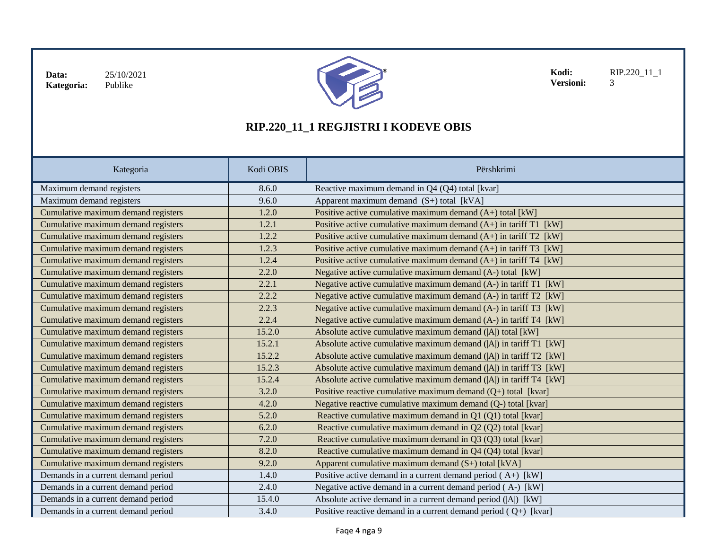

**Kodi:** RIP.220\_11\_1<br>**Versioni:** 3 **Versioni:** 

| Kategoria                           | Kodi OBIS | Përshkrimi                                                            |
|-------------------------------------|-----------|-----------------------------------------------------------------------|
| Maximum demand registers            | 8.6.0     | Reactive maximum demand in Q4 (Q4) total [kvar]                       |
| Maximum demand registers            | 9.6.0     | Apparent maximum demand $(S+)$ total [kVA]                            |
| Cumulative maximum demand registers | 1.2.0     | Positive active cumulative maximum demand $(A+)$ total [kW]           |
| Cumulative maximum demand registers | 1.2.1     | Positive active cumulative maximum demand $(A+)$ in tariff T1 [kW]    |
| Cumulative maximum demand registers | 1.2.2     | Positive active cumulative maximum demand $(A+)$ in tariff T2 [kW]    |
| Cumulative maximum demand registers | 1.2.3     | Positive active cumulative maximum demand $(A+)$ in tariff T3 [kW]    |
| Cumulative maximum demand registers | 1.2.4     | Positive active cumulative maximum demand $(A+)$ in tariff T4 [kW]    |
| Cumulative maximum demand registers | 2.2.0     | Negative active cumulative maximum demand (A-) total [kW]             |
| Cumulative maximum demand registers | 2.2.1     | Negative active cumulative maximum demand (A-) in tariff T1 [kW]      |
| Cumulative maximum demand registers | 2.2.2     | Negative active cumulative maximum demand $(A-)$ in tariff T2 [kW]    |
| Cumulative maximum demand registers | 2.2.3     | Negative active cumulative maximum demand $(A-)$ in tariff T3 [kW]    |
| Cumulative maximum demand registers | 2.2.4     | Negative active cumulative maximum demand (A-) in tariff T4 [kW]      |
| Cumulative maximum demand registers | 15.2.0    | Absolute active cumulative maximum demand ( A ) total [kW]            |
| Cumulative maximum demand registers | 15.2.1    | Absolute active cumulative maximum demand $( A )$ in tariff $T1$ [kW] |
| Cumulative maximum demand registers | 15.2.2    | Absolute active cumulative maximum demand ( A ) in tariff T2 [kW]     |
| Cumulative maximum demand registers | 15.2.3    | Absolute active cumulative maximum demand ( A ) in tariff T3 [kW]     |
| Cumulative maximum demand registers | 15.2.4    | Absolute active cumulative maximum demand $( A )$ in tariff T4 $[kW]$ |
| Cumulative maximum demand registers | 3.2.0     | Positive reactive cumulative maximum demand $(Q+)$ total [kvar]       |
| Cumulative maximum demand registers | 4.2.0     | Negative reactive cumulative maximum demand (Q-) total [kvar]         |
| Cumulative maximum demand registers | 5.2.0     | Reactive cumulative maximum demand in Q1 (Q1) total [kvar]            |
| Cumulative maximum demand registers | 6.2.0     | Reactive cumulative maximum demand in Q2 (Q2) total [kvar]            |
| Cumulative maximum demand registers | 7.2.0     | Reactive cumulative maximum demand in Q3 (Q3) total [kvar]            |
| Cumulative maximum demand registers | 8.2.0     | Reactive cumulative maximum demand in Q4 (Q4) total [kvar]            |
| Cumulative maximum demand registers | 9.2.0     | Apparent cumulative maximum demand (S+) total [kVA]                   |
| Demands in a current demand period  | 1.4.0     | Positive active demand in a current demand period $(A+)$ [kW]         |
| Demands in a current demand period  | 2.4.0     | Negative active demand in a current demand period (A-) [kW]           |
| Demands in a current demand period  | 15.4.0    | Absolute active demand in a current demand period ( A ) [kW]          |
| Demands in a current demand period  | 3.4.0     | Positive reactive demand in a current demand period $(Q+)$ [kvar]     |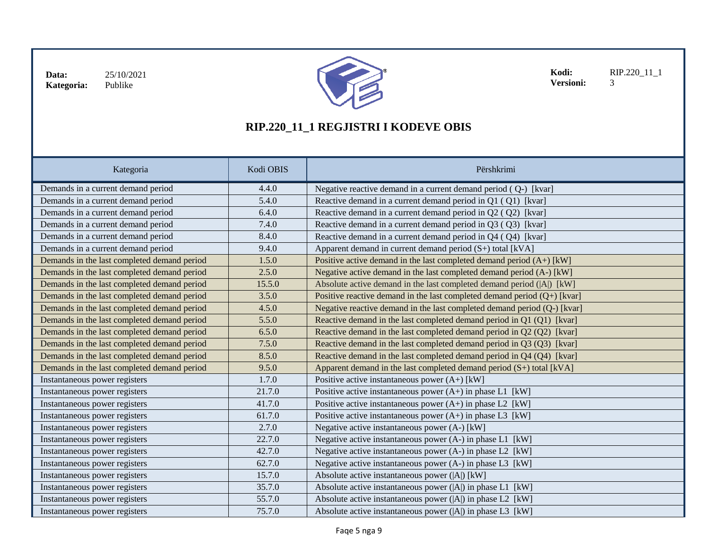

**Kodi:** RIP.220\_11\_1<br>**Versioni:** 3 Versioni:

| Kategoria                                   | Kodi OBIS | Përshkrimi                                                                 |
|---------------------------------------------|-----------|----------------------------------------------------------------------------|
| Demands in a current demand period          | 4.4.0     | Negative reactive demand in a current demand period (Q-) [kvar]            |
| Demands in a current demand period          | 5.4.0     | Reactive demand in a current demand period in Q1 (Q1) [kvar]               |
| Demands in a current demand period          | 6.4.0     | Reactive demand in a current demand period in Q2 (Q2) [kvar]               |
| Demands in a current demand period          | 7.4.0     | Reactive demand in a current demand period in Q3 (Q3) [kvar]               |
| Demands in a current demand period          | 8.4.0     | Reactive demand in a current demand period in Q4 (Q4) [kvar]               |
| Demands in a current demand period          | 9.4.0     | Apparent demand in current demand period $(S+)$ total [kVA]                |
| Demands in the last completed demand period | 1.5.0     | Positive active demand in the last completed demand period $(A+)$ [kW]     |
| Demands in the last completed demand period | 2.5.0     | Negative active demand in the last completed demand period (A-) [kW]       |
| Demands in the last completed demand period | 15.5.0    | Absolute active demand in the last completed demand period ( A ) [kW]      |
| Demands in the last completed demand period | 3.5.0     | Positive reactive demand in the last completed demand period $(Q+)$ [kvar] |
| Demands in the last completed demand period | 4.5.0     | Negative reactive demand in the last completed demand period (Q-) [kvar]   |
| Demands in the last completed demand period | 5.5.0     | Reactive demand in the last completed demand period in Q1 (Q1) [kvar]      |
| Demands in the last completed demand period | 6.5.0     | Reactive demand in the last completed demand period in Q2 (Q2) [kvar]      |
| Demands in the last completed demand period | 7.5.0     | Reactive demand in the last completed demand period in Q3 (Q3) [kvar]      |
| Demands in the last completed demand period | 8.5.0     | Reactive demand in the last completed demand period in Q4 (Q4) [kvar]      |
| Demands in the last completed demand period | 9.5.0     | Apparent demand in the last completed demand period $(S+)$ total [kVA]     |
| Instantaneous power registers               | 1.7.0     | Positive active instantaneous power $(A+)$ [kW]                            |
| Instantaneous power registers               | 21.7.0    | Positive active instantaneous power $(A+)$ in phase L1 [kW]                |
| Instantaneous power registers               | 41.7.0    | Positive active instantaneous power $(A+)$ in phase L2 [kW]                |
| Instantaneous power registers               | 61.7.0    | Positive active instantaneous power $(A+)$ in phase L3 [kW]                |
| Instantaneous power registers               | 2.7.0     | Negative active instantaneous power (A-) [kW]                              |
| Instantaneous power registers               | 22.7.0    | Negative active instantaneous power (A-) in phase L1 [kW]                  |
| Instantaneous power registers               | 42.7.0    | Negative active instantaneous power (A-) in phase L2 [kW]                  |
| Instantaneous power registers               | 62.7.0    | Negative active instantaneous power (A-) in phase L3 [kW]                  |
| Instantaneous power registers               | 15.7.0    | Absolute active instantaneous power ( A ) [kW]                             |
| Instantaneous power registers               | 35.7.0    | Absolute active instantaneous power $( A )$ in phase L1 $[kW]$             |
| Instantaneous power registers               | 55.7.0    | Absolute active instantaneous power ( A ) in phase L2 [kW]                 |
| Instantaneous power registers               | 75.7.0    | Absolute active instantaneous power ( A ) in phase L3 [kW]                 |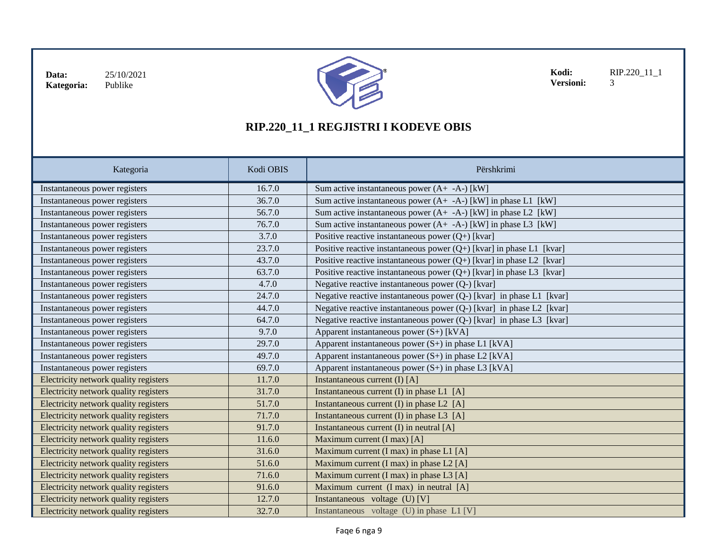

**Kodi:** RIP.220\_11\_1<br>**Versioni:** 3 **Versioni:** 

| Kategoria                             | Kodi OBIS | Përshkrimi                                                             |
|---------------------------------------|-----------|------------------------------------------------------------------------|
| Instantaneous power registers         | 16.7.0    | Sum active instantaneous power $(A + -A)$ [kW]                         |
| Instantaneous power registers         | 36.7.0    | Sum active instantaneous power $(A + -A)$ [kW] in phase L1 [kW]        |
| Instantaneous power registers         | 56.7.0    | Sum active instantaneous power $(A + -A)$ [kW] in phase L2 [kW]        |
| Instantaneous power registers         | 76.7.0    | Sum active instantaneous power $(A + -A)$ [kW] in phase L3 [kW]        |
| Instantaneous power registers         | 3.7.0     | Positive reactive instantaneous power $(Q+)$ [kvar]                    |
| Instantaneous power registers         | 23.7.0    | Positive reactive instantaneous power $(Q+)$ [kvar] in phase L1 [kvar] |
| Instantaneous power registers         | 43.7.0    | Positive reactive instantaneous power $(Q+)$ [kvar] in phase L2 [kvar] |
| Instantaneous power registers         | 63.7.0    | Positive reactive instantaneous power $(Q+)$ [kvar] in phase L3 [kvar] |
| Instantaneous power registers         | 4.7.0     | Negative reactive instantaneous power (Q-) [kvar]                      |
| Instantaneous power registers         | 24.7.0    | Negative reactive instantaneous power (Q-) [kvar] in phase L1 [kvar]   |
| Instantaneous power registers         | 44.7.0    | Negative reactive instantaneous power (Q-) [kvar] in phase L2 [kvar]   |
| Instantaneous power registers         | 64.7.0    | Negative reactive instantaneous power (Q-) [kvar] in phase L3 [kvar]   |
| Instantaneous power registers         | 9.7.0     | Apparent instantaneous power $(S+)$ [kVA]                              |
| Instantaneous power registers         | 29.7.0    | Apparent instantaneous power $(S+)$ in phase L1 [kVA]                  |
| Instantaneous power registers         | 49.7.0    | Apparent instantaneous power $(S+)$ in phase L2 [kVA]                  |
| Instantaneous power registers         | 69.7.0    | Apparent instantaneous power (S+) in phase L3 [kVA]                    |
| Electricity network quality registers | 11.7.0    | Instantaneous current $(I) [A]$                                        |
| Electricity network quality registers | 31.7.0    | Instantaneous current $(I)$ in phase L1 $[A]$                          |
| Electricity network quality registers | 51.7.0    | Instantaneous current $(I)$ in phase L2 $[A]$                          |
| Electricity network quality registers | 71.7.0    | Instantaneous current (I) in phase L3 [A]                              |
| Electricity network quality registers | 91.7.0    | Instantaneous current $(I)$ in neutral $[A]$                           |
| Electricity network quality registers | 11.6.0    | Maximum current (I max) [A]                                            |
| Electricity network quality registers | 31.6.0    | Maximum current (I max) in phase L1 [A]                                |
| Electricity network quality registers | 51.6.0    | Maximum current (I max) in phase L2 [A]                                |
| Electricity network quality registers | 71.6.0    | Maximum current (I max) in phase L3 [A]                                |
| Electricity network quality registers | 91.6.0    | Maximum current (I max) in neutral [A]                                 |
| Electricity network quality registers | 12.7.0    | Instantaneous voltage (U) [V]                                          |
| Electricity network quality registers | 32.7.0    | Instantaneous voltage (U) in phase L1 [V]                              |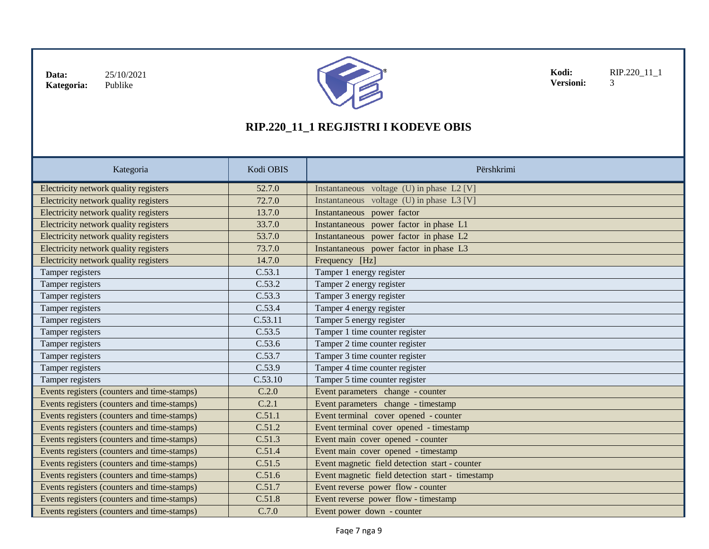

**Kodi:** RIP.220\_11\_1<br>**Versioni:** 3 Versioni:

| Kategoria                                   | Kodi OBIS | Përshkrimi                                       |
|---------------------------------------------|-----------|--------------------------------------------------|
| Electricity network quality registers       | 52.7.0    | Instantaneous voltage (U) in phase L2 [V]        |
| Electricity network quality registers       | 72.7.0    | Instantaneous voltage $(U)$ in phase L3 [V]      |
| Electricity network quality registers       | 13.7.0    | Instantaneous power factor                       |
| Electricity network quality registers       | 33.7.0    | Instantaneous power factor in phase L1           |
| Electricity network quality registers       | 53.7.0    | Instantaneous power factor in phase L2           |
| Electricity network quality registers       | 73.7.0    | Instantaneous power factor in phase L3           |
| Electricity network quality registers       | 14.7.0    | Frequency [Hz]                                   |
| Tamper registers                            | C.53.1    | Tamper 1 energy register                         |
| Tamper registers                            | C.53.2    | Tamper 2 energy register                         |
| Tamper registers                            | C.53.3    | Tamper 3 energy register                         |
| Tamper registers                            | C.53.4    | Tamper 4 energy register                         |
| Tamper registers                            | C.53.11   | Tamper 5 energy register                         |
| Tamper registers                            | C.53.5    | Tamper 1 time counter register                   |
| Tamper registers                            | C.53.6    | Tamper 2 time counter register                   |
| Tamper registers                            | C.53.7    | Tamper 3 time counter register                   |
| Tamper registers                            | C.53.9    | Tamper 4 time counter register                   |
| Tamper registers                            | C.53.10   | Tamper 5 time counter register                   |
| Events registers (counters and time-stamps) | C.2.0     | Event parameters change - counter                |
| Events registers (counters and time-stamps) | C.2.1     | Event parameters change - timestamp              |
| Events registers (counters and time-stamps) | C.51.1    | Event terminal cover opened - counter            |
| Events registers (counters and time-stamps) | C.51.2    | Event terminal cover opened - timestamp          |
| Events registers (counters and time-stamps) | C.51.3    | Event main cover opened - counter                |
| Events registers (counters and time-stamps) | C.51.4    | Event main cover opened - timestamp              |
| Events registers (counters and time-stamps) | C.51.5    | Event magnetic field detection start - counter   |
| Events registers (counters and time-stamps) | C.51.6    | Event magnetic field detection start - timestamp |
| Events registers (counters and time-stamps) | C.51.7    | Event reverse power flow - counter               |
| Events registers (counters and time-stamps) | C.51.8    | Event reverse power flow - timestamp             |
| Events registers (counters and time-stamps) | C.7.0     | Event power down - counter                       |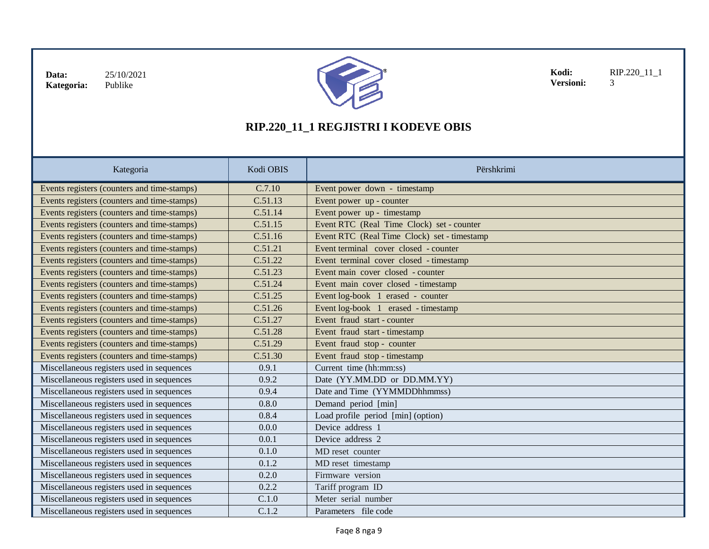

**Kodi:** RIP.220\_11\_1<br>**Versioni:** 3 Versioni:

| Kategoria                                   | Kodi OBIS | Përshkrimi                                  |
|---------------------------------------------|-----------|---------------------------------------------|
| Events registers (counters and time-stamps) | C.7.10    | Event power down - timestamp                |
| Events registers (counters and time-stamps) | C.51.13   | Event power up - counter                    |
| Events registers (counters and time-stamps) | C.51.14   | Event power up - timestamp                  |
| Events registers (counters and time-stamps) | C.51.15   | Event RTC (Real Time Clock) set - counter   |
| Events registers (counters and time-stamps) | C.51.16   | Event RTC (Real Time Clock) set - timestamp |
| Events registers (counters and time-stamps) | C.51.21   | Event terminal cover closed - counter       |
| Events registers (counters and time-stamps) | C.51.22   | Event terminal cover closed - timestamp     |
| Events registers (counters and time-stamps) | C.51.23   | Event main cover closed - counter           |
| Events registers (counters and time-stamps) | C.51.24   | Event main cover closed - timestamp         |
| Events registers (counters and time-stamps) | C.51.25   | Event log-book 1 erased - counter           |
| Events registers (counters and time-stamps) | C.51.26   | Event log-book 1 erased - timestamp         |
| Events registers (counters and time-stamps) | C.51.27   | Event fraud start - counter                 |
| Events registers (counters and time-stamps) | C.51.28   | Event fraud start - timestamp               |
| Events registers (counters and time-stamps) | C.51.29   | Event fraud stop - counter                  |
| Events registers (counters and time-stamps) | C.51.30   | Event fraud stop - timestamp                |
| Miscellaneous registers used in sequences   | 0.9.1     | Current time (hh:mm:ss)                     |
| Miscellaneous registers used in sequences   | 0.9.2     | Date (YY.MM.DD or DD.MM.YY)                 |
| Miscellaneous registers used in sequences   | 0.9.4     | Date and Time (YYMMDDhhmmss)                |
| Miscellaneous registers used in sequences   | 0.8.0     | Demand period [min]                         |
| Miscellaneous registers used in sequences   | 0.8.4     | Load profile period [min] (option)          |
| Miscellaneous registers used in sequences   | 0.0.0     | Device address 1                            |
| Miscellaneous registers used in sequences   | 0.0.1     | Device address 2                            |
| Miscellaneous registers used in sequences   | 0.1.0     | MD reset counter                            |
| Miscellaneous registers used in sequences   | 0.1.2     | MD reset timestamp                          |
| Miscellaneous registers used in sequences   | 0.2.0     | Firmware version                            |
| Miscellaneous registers used in sequences   | 0.2.2     | Tariff program ID                           |
| Miscellaneous registers used in sequences   | C.1.0     | Meter serial number                         |
| Miscellaneous registers used in sequences   | C.1.2     | Parameters file code                        |